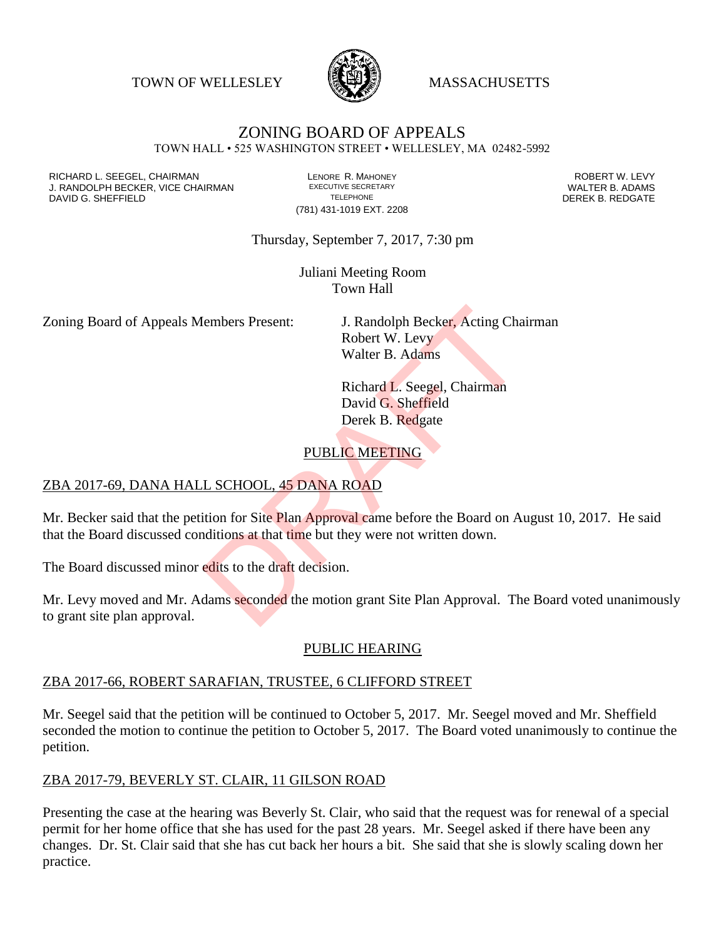TOWN OF WELLESLEY **WASSACHUSETTS** 



# ZONING BOARD OF APPEALS

TOWN HALL • 525 WASHINGTON STREET • WELLESLEY, MA 02482-5992

RICHARD L. SEEGEL, CHAIRMAN LENORE R. MAHONEY ROBERT W. LEVY J. RANDOLPH BECKER, VICE CHAIRMAN EXECUTIVE SECRETARY THE SECRETARY THE SANDOLPH BECKER B. ADAMS<br>DEREK B. REDGATE TELEPHONE TELEPHONE TELEPHONE TELEPHONE DAVID G. SHEFFIELD

(781) 431-1019 EXT. 2208

Thursday, September 7, 2017, 7:30 pm

Juliani Meeting Room Town Hall

Zoning Board of Appeals Members Present: J. Randolph Becker, Acting Chairman

Robert W. Levy Walter B. Adams

Richard L. Seegel, Chairman David G. Sheffield Derek B. Redgate

## PUBLIC MEETING

#### ZBA 2017-69, DANA HALL SCHOOL, 45 DANA ROAD

Mr. Becker said that the petition for Site Plan Approval came before the Board on August 10, 2017. He said that the Board discussed conditions at that time but they were not written down. Example Present:<br>
J. Randolph Becker, Acting Cha<br>
Robert W. Levy<br>
Walter B. Adams<br>
Richard L. Seegel, Chairman<br>
David G. Sheffield<br>
Derek B. Redgate<br>
PUBLIC MEETING<br>
L. SCHOOL, 45 DANA ROAD<br>
L. SCHOOL, 45 DANA ROAD<br>
L. SCH

The Board discussed minor edits to the draft decision.

Mr. Levy moved and Mr. Adams seconded the motion grant Site Plan Approval. The Board voted unanimously to grant site plan approval.

#### PUBLIC HEARING

#### ZBA 2017-66, ROBERT SARAFIAN, TRUSTEE, 6 CLIFFORD STREET

Mr. Seegel said that the petition will be continued to October 5, 2017. Mr. Seegel moved and Mr. Sheffield seconded the motion to continue the petition to October 5, 2017. The Board voted unanimously to continue the petition.

#### ZBA 2017-79, BEVERLY ST. CLAIR, 11 GILSON ROAD

Presenting the case at the hearing was Beverly St. Clair, who said that the request was for renewal of a special permit for her home office that she has used for the past 28 years. Mr. Seegel asked if there have been any changes. Dr. St. Clair said that she has cut back her hours a bit. She said that she is slowly scaling down her practice.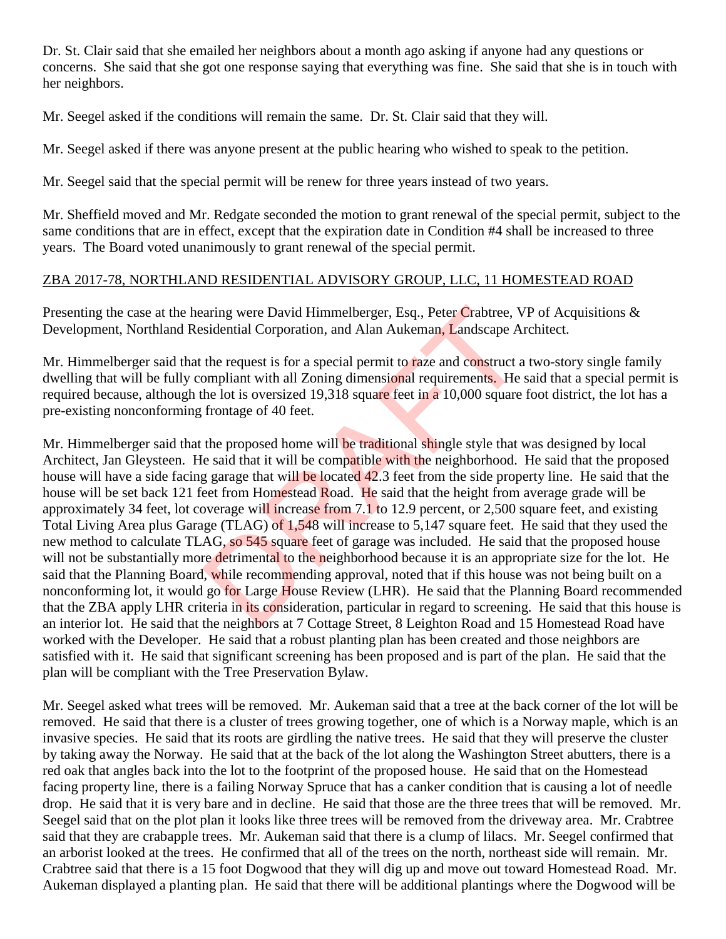Dr. St. Clair said that she emailed her neighbors about a month ago asking if anyone had any questions or concerns. She said that she got one response saying that everything was fine. She said that she is in touch with her neighbors.

Mr. Seegel asked if the conditions will remain the same. Dr. St. Clair said that they will.

Mr. Seegel asked if there was anyone present at the public hearing who wished to speak to the petition.

Mr. Seegel said that the special permit will be renew for three years instead of two years.

Mr. Sheffield moved and Mr. Redgate seconded the motion to grant renewal of the special permit, subject to the same conditions that are in effect, except that the expiration date in Condition #4 shall be increased to three years. The Board voted unanimously to grant renewal of the special permit.

### ZBA 2017-78, NORTHLAND RESIDENTIAL ADVISORY GROUP, LLC, 11 HOMESTEAD ROAD

Presenting the case at the hearing were David Himmelberger, Esq., Peter Crabtree, VP of Acquisitions & Development, Northland Residential Corporation, and Alan Aukeman, Landscape Architect.

Mr. Himmelberger said that the request is for a special permit to raze and construct a two-story single family dwelling that will be fully compliant with all Zoning dimensional requirements. He said that a special permit is required because, although the lot is oversized 19,318 square feet in a 10,000 square foot district, the lot has a pre-existing nonconforming frontage of 40 feet.

Mr. Himmelberger said that the proposed home will be traditional shingle style that was designed by local Architect, Jan Gleysteen. He said that it will be compatible with the neighborhood. He said that the proposed house will have a side facing garage that will be located 42.3 feet from the side property line. He said that the house will be set back 121 feet from Homestead Road. He said that the height from average grade will be approximately 34 feet, lot coverage will increase from 7.1 to 12.9 percent, or 2,500 square feet, and existing Total Living Area plus Garage (TLAG) of 1,548 will increase to 5,147 square feet. He said that they used the new method to calculate TLAG, so 545 square feet of garage was included. He said that the proposed house will not be substantially more detrimental to the neighborhood because it is an appropriate size for the lot. He said that the Planning Board, while recommending approval, noted that if this house was not being built on a nonconforming lot, it would go for Large House Review (LHR). He said that the Planning Board recommended that the ZBA apply LHR criteria in its consideration, particular in regard to screening. He said that this house is an interior lot. He said that the neighbors at 7 Cottage Street, 8 Leighton Road and 15 Homestead Road have worked with the Developer. He said that a robust planting plan has been created and those neighbors are satisfied with it. He said that significant screening has been proposed and is part of the plan. He said that the plan will be compliant with the Tree Preservation Bylaw. aring were David Himmelberger, Esq., Peter Crabtree, V<br>sidential Corporation, and Alan Aukeman, Landscape A<br>the request is for a special permit to raze and construct a<br>ompliant with all Zoning dimensional requirements. He

Mr. Seegel asked what trees will be removed. Mr. Aukeman said that a tree at the back corner of the lot will be removed. He said that there is a cluster of trees growing together, one of which is a Norway maple, which is an invasive species. He said that its roots are girdling the native trees. He said that they will preserve the cluster by taking away the Norway. He said that at the back of the lot along the Washington Street abutters, there is a red oak that angles back into the lot to the footprint of the proposed house. He said that on the Homestead facing property line, there is a failing Norway Spruce that has a canker condition that is causing a lot of needle drop. He said that it is very bare and in decline. He said that those are the three trees that will be removed. Mr. Seegel said that on the plot plan it looks like three trees will be removed from the driveway area. Mr. Crabtree said that they are crabapple trees. Mr. Aukeman said that there is a clump of lilacs. Mr. Seegel confirmed that an arborist looked at the trees. He confirmed that all of the trees on the north, northeast side will remain. Mr. Crabtree said that there is a 15 foot Dogwood that they will dig up and move out toward Homestead Road. Mr. Aukeman displayed a planting plan. He said that there will be additional plantings where the Dogwood will be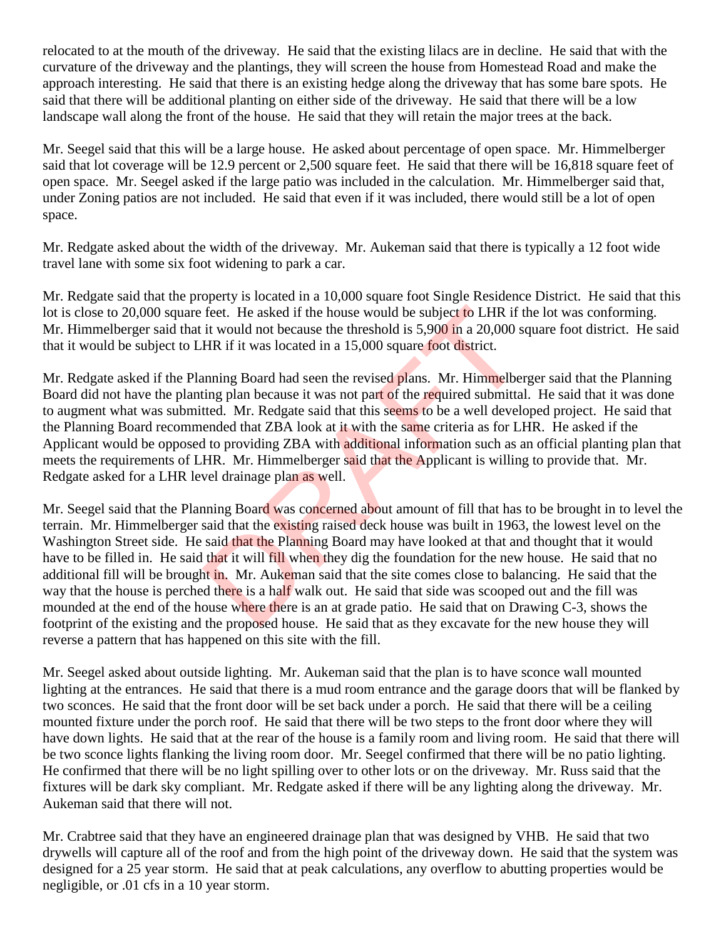relocated to at the mouth of the driveway. He said that the existing lilacs are in decline. He said that with the curvature of the driveway and the plantings, they will screen the house from Homestead Road and make the approach interesting. He said that there is an existing hedge along the driveway that has some bare spots. He said that there will be additional planting on either side of the driveway. He said that there will be a low landscape wall along the front of the house. He said that they will retain the major trees at the back.

Mr. Seegel said that this will be a large house. He asked about percentage of open space. Mr. Himmelberger said that lot coverage will be 12.9 percent or 2,500 square feet. He said that there will be 16,818 square feet of open space. Mr. Seegel asked if the large patio was included in the calculation. Mr. Himmelberger said that, under Zoning patios are not included. He said that even if it was included, there would still be a lot of open space.

Mr. Redgate asked about the width of the driveway. Mr. Aukeman said that there is typically a 12 foot wide travel lane with some six foot widening to park a car.

Mr. Redgate said that the property is located in a 10,000 square foot Single Residence District. He said that this lot is close to 20,000 square feet. He asked if the house would be subject to LHR if the lot was conforming. Mr. Himmelberger said that it would not because the threshold is 5,900 in a 20,000 square foot district. He said that it would be subject to LHR if it was located in a 15,000 square foot district.

Mr. Redgate asked if the Planning Board had seen the revised plans. Mr. Himmelberger said that the Planning Board did not have the planting plan because it was not part of the required submittal. He said that it was done to augment what was submitted. Mr. Redgate said that this seems to be a well developed project. He said that the Planning Board recommended that ZBA look at it with the same criteria as for LHR. He asked if the Applicant would be opposed to providing ZBA with additional information such as an official planting plan that meets the requirements of LHR. Mr. Himmelberger said that the Applicant is willing to provide that. Mr. Redgate asked for a LHR level drainage plan as well.

Mr. Seegel said that the Planning Board was concerned about amount of fill that has to be brought in to level the terrain. Mr. Himmelberger said that the existing raised deck house was built in 1963, the lowest level on the Washington Street side. He said that the Planning Board may have looked at that and thought that it would have to be filled in. He said that it will fill when they dig the foundation for the new house. He said that no additional fill will be brought in. Mr. Aukeman said that the site comes close to balancing. He said that the way that the house is perched there is a half walk out. He said that side was scooped out and the fill was mounded at the end of the house where there is an at grade patio. He said that on Drawing C-3, shows the footprint of the existing and the proposed house. He said that as they excavate for the new house they will reverse a pattern that has happened on this site with the fill. feet. He asked if the house would be subject to LHR if the it would not because the threshold is 5,900 in a 20,000 s<br>HR if it would not because the threshold is 5,900 in a 20,000 s<br>HR if it was located in a 15,000 square f

Mr. Seegel asked about outside lighting. Mr. Aukeman said that the plan is to have sconce wall mounted lighting at the entrances. He said that there is a mud room entrance and the garage doors that will be flanked by two sconces. He said that the front door will be set back under a porch. He said that there will be a ceiling mounted fixture under the porch roof. He said that there will be two steps to the front door where they will have down lights. He said that at the rear of the house is a family room and living room. He said that there will be two sconce lights flanking the living room door. Mr. Seegel confirmed that there will be no patio lighting. He confirmed that there will be no light spilling over to other lots or on the driveway. Mr. Russ said that the fixtures will be dark sky compliant. Mr. Redgate asked if there will be any lighting along the driveway. Mr. Aukeman said that there will not.

Mr. Crabtree said that they have an engineered drainage plan that was designed by VHB. He said that two drywells will capture all of the roof and from the high point of the driveway down. He said that the system was designed for a 25 year storm. He said that at peak calculations, any overflow to abutting properties would be negligible, or .01 cfs in a 10 year storm.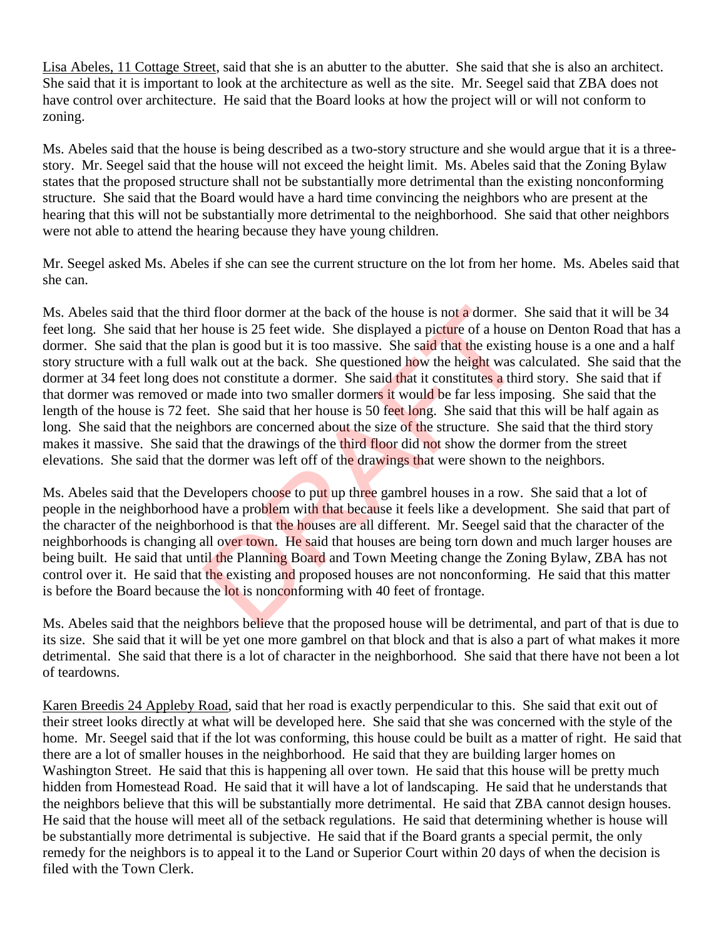Lisa Abeles, 11 Cottage Street, said that she is an abutter to the abutter. She said that she is also an architect. She said that it is important to look at the architecture as well as the site. Mr. Seegel said that ZBA does not have control over architecture. He said that the Board looks at how the project will or will not conform to zoning.

Ms. Abeles said that the house is being described as a two-story structure and she would argue that it is a threestory. Mr. Seegel said that the house will not exceed the height limit. Ms. Abeles said that the Zoning Bylaw states that the proposed structure shall not be substantially more detrimental than the existing nonconforming structure. She said that the Board would have a hard time convincing the neighbors who are present at the hearing that this will not be substantially more detrimental to the neighborhood. She said that other neighbors were not able to attend the hearing because they have young children.

Mr. Seegel asked Ms. Abeles if she can see the current structure on the lot from her home. Ms. Abeles said that she can.

Ms. Abeles said that the third floor dormer at the back of the house is not a dormer. She said that it will be 34 feet long. She said that her house is 25 feet wide. She displayed a picture of a house on Denton Road that has a dormer. She said that the plan is good but it is too massive. She said that the existing house is a one and a half story structure with a full walk out at the back. She questioned how the height was calculated. She said that the dormer at 34 feet long does not constitute a dormer. She said that it constitutes a third story. She said that if that dormer was removed or made into two smaller dormers it would be far less imposing. She said that the length of the house is 72 feet. She said that her house is 50 feet long. She said that this will be half again as long. She said that the neighbors are concerned about the size of the structure. She said that the third story makes it massive. She said that the drawings of the third floor did not show the dormer from the street elevations. She said that the dormer was left off of the drawings that were shown to the neighbors. d floor dormer at the back of the house is not a dormer.<br>
house is 25 feet wide. She displayed a picture of a house<br>
an is good but it is too massive. She said that the existin<br>
alk out at the back. She questioned how the

Ms. Abeles said that the Developers choose to put up three gambrel houses in a row. She said that a lot of people in the neighborhood have a problem with that because it feels like a development. She said that part of the character of the neighborhood is that the houses are all different. Mr. Seegel said that the character of the neighborhoods is changing all over town. He said that houses are being torn down and much larger houses are being built. He said that until the Planning Board and Town Meeting change the Zoning Bylaw, ZBA has not control over it. He said that the existing and proposed houses are not nonconforming. He said that this matter is before the Board because the lot is nonconforming with 40 feet of frontage.

Ms. Abeles said that the neighbors believe that the proposed house will be detrimental, and part of that is due to its size. She said that it will be yet one more gambrel on that block and that is also a part of what makes it more detrimental. She said that there is a lot of character in the neighborhood. She said that there have not been a lot of teardowns.

Karen Breedis 24 Appleby Road, said that her road is exactly perpendicular to this. She said that exit out of their street looks directly at what will be developed here. She said that she was concerned with the style of the home. Mr. Seegel said that if the lot was conforming, this house could be built as a matter of right. He said that there are a lot of smaller houses in the neighborhood. He said that they are building larger homes on Washington Street. He said that this is happening all over town. He said that this house will be pretty much hidden from Homestead Road. He said that it will have a lot of landscaping. He said that he understands that the neighbors believe that this will be substantially more detrimental. He said that ZBA cannot design houses. He said that the house will meet all of the setback regulations. He said that determining whether is house will be substantially more detrimental is subjective. He said that if the Board grants a special permit, the only remedy for the neighbors is to appeal it to the Land or Superior Court within 20 days of when the decision is filed with the Town Clerk.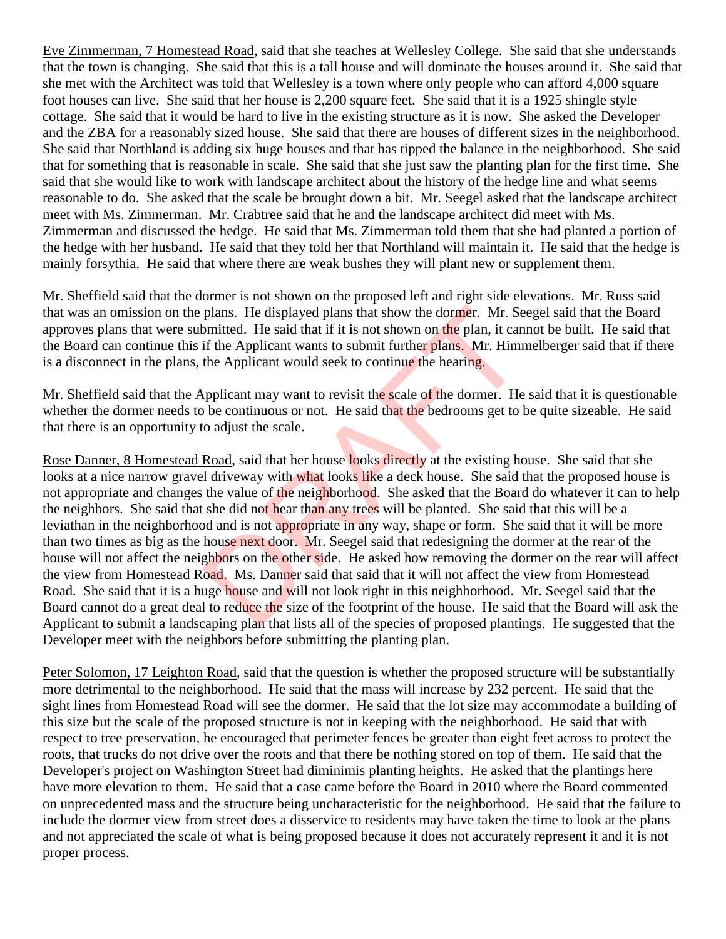Eve Zimmerman, 7 Homestead Road, said that she teaches at Wellesley College. She said that she understands that the town is changing. She said that this is a tall house and will dominate the houses around it. She said that she met with the Architect was told that Wellesley is a town where only people who can afford 4,000 square foot houses can live. She said that her house is 2,200 square feet. She said that it is a 1925 shingle style cottage. She said that it would be hard to live in the existing structure as it is now. She asked the Developer and the ZBA for a reasonably sized house. She said that there are houses of different sizes in the neighborhood. She said that Northland is adding six huge houses and that has tipped the balance in the neighborhood. She said that for something that is reasonable in scale. She said that she just saw the planting plan for the first time. She said that she would like to work with landscape architect about the history of the hedge line and what seems reasonable to do. She asked that the scale be brought down a bit. Mr. Seegel asked that the landscape architect meet with Ms. Zimmerman. Mr. Crabtree said that he and the landscape architect did meet with Ms. Zimmerman and discussed the hedge. He said that Ms. Zimmerman told them that she had planted a portion of the hedge with her husband. He said that they told her that Northland will maintain it. He said that the hedge is mainly forsythia. He said that where there are weak bushes they will plant new or supplement them.

Mr. Sheffield said that the dormer is not shown on the proposed left and right side elevations. Mr. Russ said that was an omission on the plans. He displayed plans that show the dormer. Mr. Seegel said that the Board approves plans that were submitted. He said that if it is not shown on the plan, it cannot be built. He said that the Board can continue this if the Applicant wants to submit further plans. Mr. Himmelberger said that if there is a disconnect in the plans, the Applicant would seek to continue the hearing.

Mr. Sheffield said that the Applicant may want to revisit the scale of the dormer. He said that it is questionable whether the dormer needs to be continuous or not. He said that the bedrooms get to be quite sizeable. He said that there is an opportunity to adjust the scale.

Rose Danner, 8 Homestead Road, said that her house looks directly at the existing house. She said that she looks at a nice narrow gravel driveway with what looks like a deck house. She said that the proposed house is not appropriate and changes the value of the neighborhood. She asked that the Board do whatever it can to help the neighbors. She said that she did not hear than any trees will be planted. She said that this will be a leviathan in the neighborhood and is not appropriate in any way, shape or form. She said that it will be more than two times as big as the house next door. Mr. Seegel said that redesigning the dormer at the rear of the house will not affect the neighbors on the other side. He asked how removing the dormer on the rear will affect the view from Homestead Road. Ms. Danner said that said that it will not affect the view from Homestead Road. She said that it is a huge house and will not look right in this neighborhood. Mr. Seegel said that the Board cannot do a great deal to reduce the size of the footprint of the house. He said that the Board will ask the Applicant to submit a landscaping plan that lists all of the species of proposed plantings. He suggested that the Developer meet with the neighbors before submitting the planting plan. plans. He displayed plans that show the dormer. Mr. Semitted. He said that if it is not shown on the plan, it can<br>if the Applicant wants to submit further plans. Mr. Himn<br>the Applicant would seek to continue the hearing.<br>A

Peter Solomon, 17 Leighton Road, said that the question is whether the proposed structure will be substantially more detrimental to the neighborhood. He said that the mass will increase by 232 percent. He said that the sight lines from Homestead Road will see the dormer. He said that the lot size may accommodate a building of this size but the scale of the proposed structure is not in keeping with the neighborhood. He said that with respect to tree preservation, he encouraged that perimeter fences be greater than eight feet across to protect the roots, that trucks do not drive over the roots and that there be nothing stored on top of them. He said that the Developer's project on Washington Street had diminimis planting heights. He asked that the plantings here have more elevation to them. He said that a case came before the Board in 2010 where the Board commented on unprecedented mass and the structure being uncharacteristic for the neighborhood. He said that the failure to include the dormer view from street does a disservice to residents may have taken the time to look at the plans and not appreciated the scale of what is being proposed because it does not accurately represent it and it is not proper process.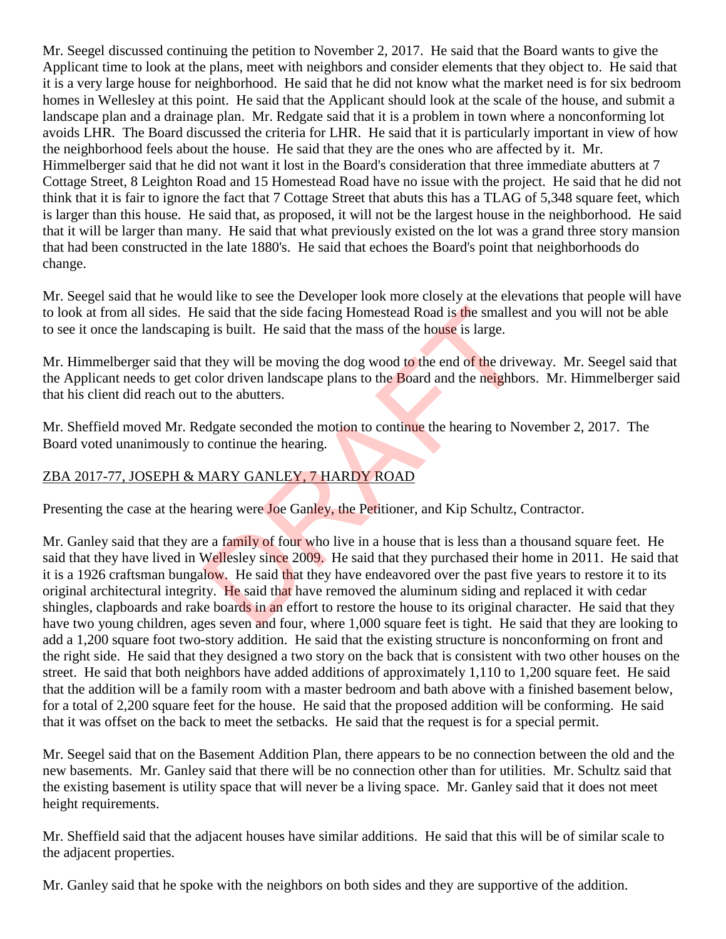Mr. Seegel discussed continuing the petition to November 2, 2017. He said that the Board wants to give the Applicant time to look at the plans, meet with neighbors and consider elements that they object to. He said that it is a very large house for neighborhood. He said that he did not know what the market need is for six bedroom homes in Wellesley at this point. He said that the Applicant should look at the scale of the house, and submit a landscape plan and a drainage plan. Mr. Redgate said that it is a problem in town where a nonconforming lot avoids LHR. The Board discussed the criteria for LHR. He said that it is particularly important in view of how the neighborhood feels about the house. He said that they are the ones who are affected by it. Mr. Himmelberger said that he did not want it lost in the Board's consideration that three immediate abutters at 7 Cottage Street, 8 Leighton Road and 15 Homestead Road have no issue with the project. He said that he did not think that it is fair to ignore the fact that 7 Cottage Street that abuts this has a TLAG of 5,348 square feet, which is larger than this house. He said that, as proposed, it will not be the largest house in the neighborhood. He said that it will be larger than many. He said that what previously existed on the lot was a grand three story mansion that had been constructed in the late 1880's. He said that echoes the Board's point that neighborhoods do change.

Mr. Seegel said that he would like to see the Developer look more closely at the elevations that people will have to look at from all sides. He said that the side facing Homestead Road is the smallest and you will not be able to see it once the landscaping is built. He said that the mass of the house is large.

Mr. Himmelberger said that they will be moving the dog wood to the end of the driveway. Mr. Seegel said that the Applicant needs to get color driven landscape plans to the Board and the neighbors. Mr. Himmelberger said that his client did reach out to the abutters.

Mr. Sheffield moved Mr. Redgate seconded the motion to continue the hearing to November 2, 2017. The Board voted unanimously to continue the hearing.

# ZBA 2017-77, JOSEPH & MARY GANLEY, 7 HARDY ROAD

Presenting the case at the hearing were **Joe Ganley**, the Petitioner, and Kip Schultz, Contractor.

Mr. Ganley said that they are a family of four who live in a house that is less than a thousand square feet. He said that they have lived in Wellesley since 2009. He said that they purchased their home in 2011. He said that it is a 1926 craftsman bungalow. He said that they have endeavored over the past five years to restore it to its original architectural integrity. He said that have removed the aluminum siding and replaced it with cedar shingles, clapboards and rake boards in an effort to restore the house to its original character. He said that they have two young children, ages seven and four, where 1,000 square feet is tight. He said that they are looking to add a 1,200 square foot two-story addition. He said that the existing structure is nonconforming on front and the right side. He said that they designed a two story on the back that is consistent with two other houses on the street. He said that both neighbors have added additions of approximately 1,110 to 1,200 square feet. He said that the addition will be a family room with a master bedroom and bath above with a finished basement below, for a total of 2,200 square feet for the house. He said that the proposed addition will be conforming. He said that it was offset on the back to meet the setbacks. He said that the request is for a special permit. Example 18 is built. He said that the mass of the house is large.<br>
they will be moving the dog wood to the end of the drive<br>
olor driven landscape plans to the Board and the neighbor<br>
to the abutters.<br>
Example 18 is also w

Mr. Seegel said that on the Basement Addition Plan, there appears to be no connection between the old and the new basements. Mr. Ganley said that there will be no connection other than for utilities. Mr. Schultz said that the existing basement is utility space that will never be a living space. Mr. Ganley said that it does not meet height requirements.

Mr. Sheffield said that the adjacent houses have similar additions. He said that this will be of similar scale to the adjacent properties.

Mr. Ganley said that he spoke with the neighbors on both sides and they are supportive of the addition.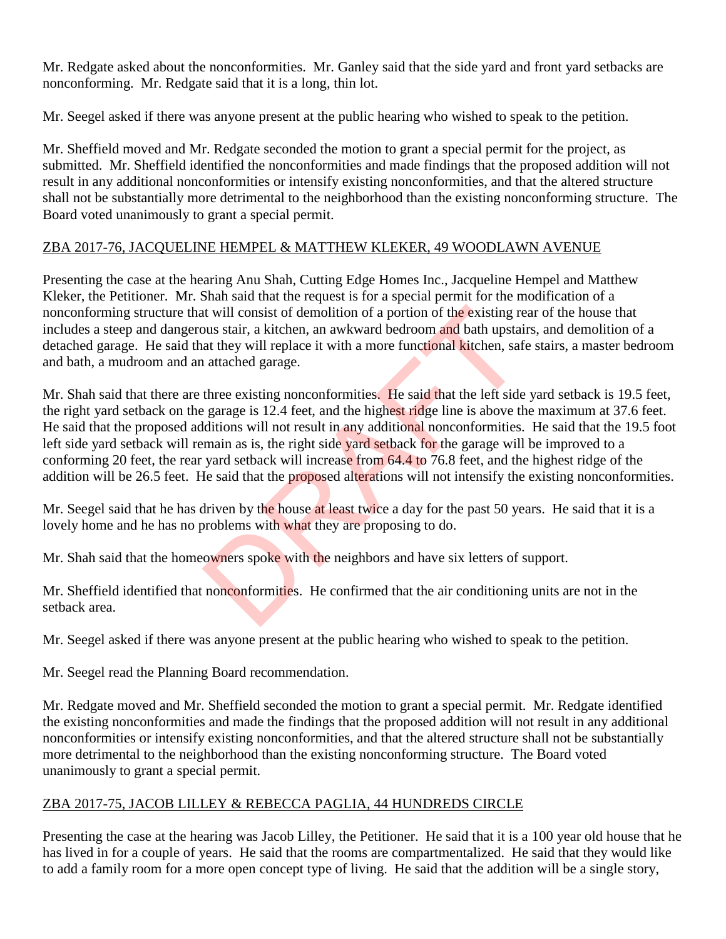Mr. Redgate asked about the nonconformities. Mr. Ganley said that the side yard and front yard setbacks are nonconforming. Mr. Redgate said that it is a long, thin lot.

Mr. Seegel asked if there was anyone present at the public hearing who wished to speak to the petition.

Mr. Sheffield moved and Mr. Redgate seconded the motion to grant a special permit for the project, as submitted. Mr. Sheffield identified the nonconformities and made findings that the proposed addition will not result in any additional nonconformities or intensify existing nonconformities, and that the altered structure shall not be substantially more detrimental to the neighborhood than the existing nonconforming structure. The Board voted unanimously to grant a special permit.

## ZBA 2017-76, JACQUELINE HEMPEL & MATTHEW KLEKER, 49 WOODLAWN AVENUE

Presenting the case at the hearing Anu Shah, Cutting Edge Homes Inc., Jacqueline Hempel and Matthew Kleker, the Petitioner. Mr. Shah said that the request is for a special permit for the modification of a nonconforming structure that will consist of demolition of a portion of the existing rear of the house that includes a steep and dangerous stair, a kitchen, an awkward bedroom and bath upstairs, and demolition of a detached garage. He said that they will replace it with a more functional kitchen, safe stairs, a master bedroom and bath, a mudroom and an attached garage.

Mr. Shah said that there are three existing nonconformities. He said that the left side yard setback is 19.5 feet, the right yard setback on the garage is 12.4 feet, and the highest ridge line is above the maximum at 37.6 feet. He said that the proposed additions will not result in any additional nonconformities. He said that the 19.5 foot left side yard setback will remain as is, the right side yard setback for the garage will be improved to a conforming 20 feet, the rear yard setback will increase from 64.4 to 76.8 feet, and the highest ridge of the addition will be 26.5 feet. He said that the proposed alterations will not intensify the existing nonconformities. It will consist of demolition of a portion of the existing repose stair, a kitchen, an awkward bedroom and bath upstaint they will replace it with a more functional kitchen, safted a that the proplace it with a more functi

Mr. Seegel said that he has driven by the house at least twice a day for the past 50 years. He said that it is a lovely home and he has no problems with what they are proposing to do.

Mr. Shah said that the homeowners spoke with the neighbors and have six letters of support.

Mr. Sheffield identified that nonconformities. He confirmed that the air conditioning units are not in the setback area.

Mr. Seegel asked if there was anyone present at the public hearing who wished to speak to the petition.

Mr. Seegel read the Planning Board recommendation.

Mr. Redgate moved and Mr. Sheffield seconded the motion to grant a special permit. Mr. Redgate identified the existing nonconformities and made the findings that the proposed addition will not result in any additional nonconformities or intensify existing nonconformities, and that the altered structure shall not be substantially more detrimental to the neighborhood than the existing nonconforming structure. The Board voted unanimously to grant a special permit.

## ZBA 2017-75, JACOB LILLEY & REBECCA PAGLIA, 44 HUNDREDS CIRCLE

Presenting the case at the hearing was Jacob Lilley, the Petitioner. He said that it is a 100 year old house that he has lived in for a couple of years. He said that the rooms are compartmentalized. He said that they would like to add a family room for a more open concept type of living. He said that the addition will be a single story,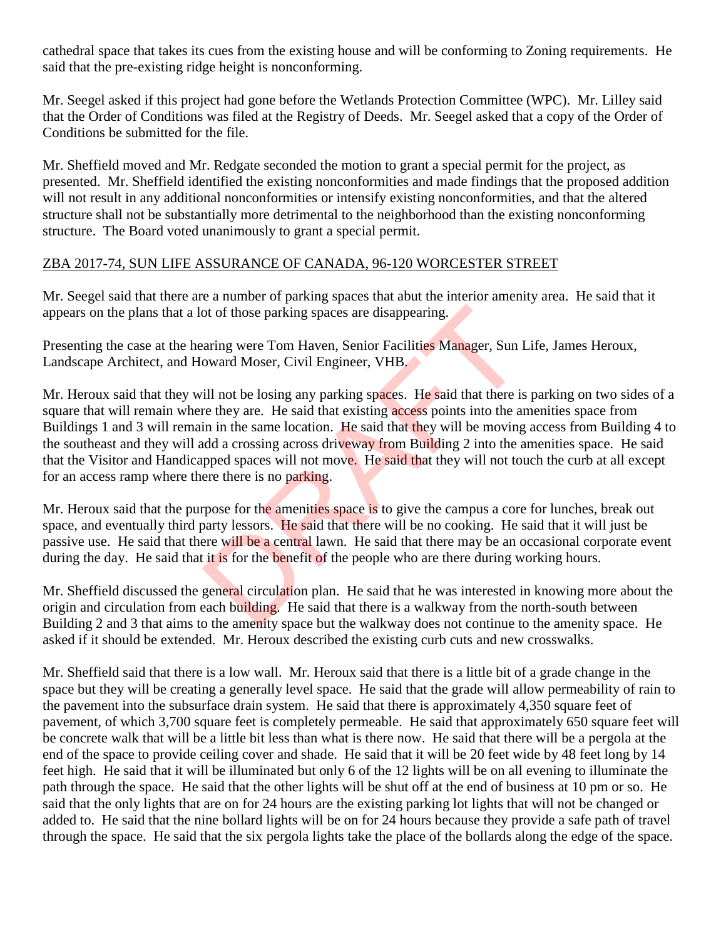cathedral space that takes its cues from the existing house and will be conforming to Zoning requirements. He said that the pre-existing ridge height is nonconforming.

Mr. Seegel asked if this project had gone before the Wetlands Protection Committee (WPC). Mr. Lilley said that the Order of Conditions was filed at the Registry of Deeds. Mr. Seegel asked that a copy of the Order of Conditions be submitted for the file.

Mr. Sheffield moved and Mr. Redgate seconded the motion to grant a special permit for the project, as presented. Mr. Sheffield identified the existing nonconformities and made findings that the proposed addition will not result in any additional nonconformities or intensify existing nonconformities, and that the altered structure shall not be substantially more detrimental to the neighborhood than the existing nonconforming structure. The Board voted unanimously to grant a special permit.

### ZBA 2017-74, SUN LIFE ASSURANCE OF CANADA, 96-120 WORCESTER STREET

Mr. Seegel said that there are a number of parking spaces that abut the interior amenity area. He said that it appears on the plans that a lot of those parking spaces are disappearing.

Presenting the case at the hearing were Tom Haven, Senior Facilities Manager, Sun Life, James Heroux, Landscape Architect, and Howard Moser, Civil Engineer, VHB.

Mr. Heroux said that they will not be losing any parking spaces. He said that there is parking on two sides of a square that will remain where they are. He said that existing access points into the amenities space from Buildings 1 and 3 will remain in the same location. He said that they will be moving access from Building 4 to the southeast and they will add a crossing across driveway from Building 2 into the amenities space. He said that the Visitor and Handicapped spaces will not move. He said that they will not touch the curb at all except for an access ramp where there there is no parking. or of those parking spaces are disappearing.<br>
aring were Tom Haven, Senior Facilities Manager, Sun I<br>
boward Moser, Civil Engineer, VHB.<br>
ill not be losing any parking spaces. He said that there is<br>
re they are. He said th

Mr. Heroux said that the purpose for the amenities space is to give the campus a core for lunches, break out space, and eventually third party lessors. He said that there will be no cooking. He said that it will just be passive use. He said that there will be a central lawn. He said that there may be an occasional corporate event during the day. He said that it is for the benefit of the people who are there during working hours.

Mr. Sheffield discussed the general circulation plan. He said that he was interested in knowing more about the origin and circulation from each building. He said that there is a walkway from the north-south between Building 2 and 3 that aims to the amenity space but the walkway does not continue to the amenity space. He asked if it should be extended. Mr. Heroux described the existing curb cuts and new crosswalks.

Mr. Sheffield said that there is a low wall. Mr. Heroux said that there is a little bit of a grade change in the space but they will be creating a generally level space. He said that the grade will allow permeability of rain to the pavement into the subsurface drain system. He said that there is approximately 4,350 square feet of pavement, of which 3,700 square feet is completely permeable. He said that approximately 650 square feet will be concrete walk that will be a little bit less than what is there now. He said that there will be a pergola at the end of the space to provide ceiling cover and shade. He said that it will be 20 feet wide by 48 feet long by 14 feet high. He said that it will be illuminated but only 6 of the 12 lights will be on all evening to illuminate the path through the space. He said that the other lights will be shut off at the end of business at 10 pm or so. He said that the only lights that are on for 24 hours are the existing parking lot lights that will not be changed or added to. He said that the nine bollard lights will be on for 24 hours because they provide a safe path of travel through the space. He said that the six pergola lights take the place of the bollards along the edge of the space.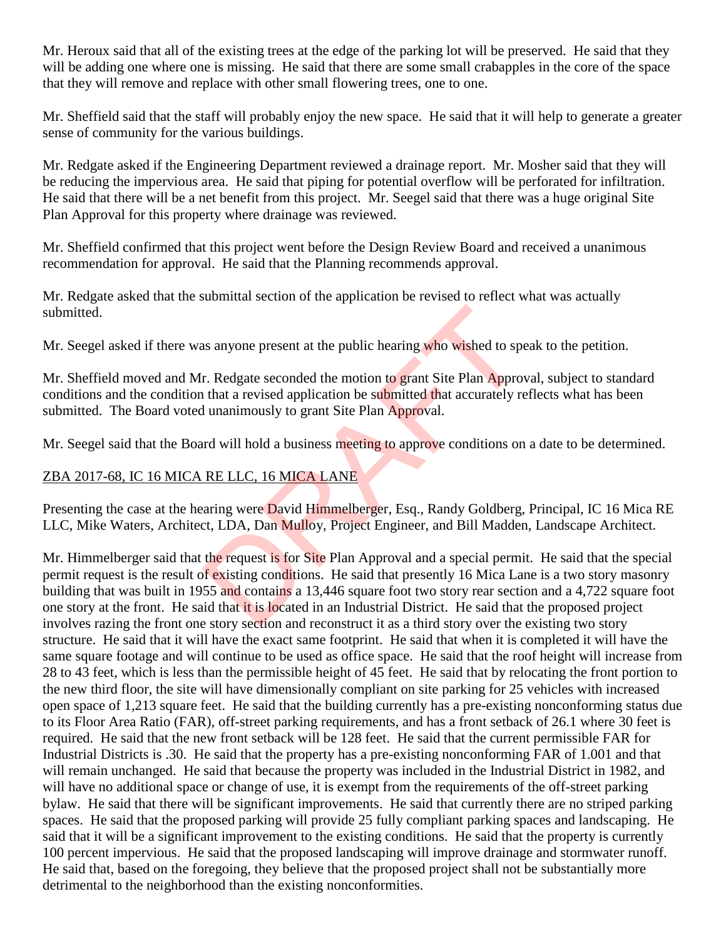Mr. Heroux said that all of the existing trees at the edge of the parking lot will be preserved. He said that they will be adding one where one is missing. He said that there are some small crabapples in the core of the space that they will remove and replace with other small flowering trees, one to one.

Mr. Sheffield said that the staff will probably enjoy the new space. He said that it will help to generate a greater sense of community for the various buildings.

Mr. Redgate asked if the Engineering Department reviewed a drainage report. Mr. Mosher said that they will be reducing the impervious area. He said that piping for potential overflow will be perforated for infiltration. He said that there will be a net benefit from this project. Mr. Seegel said that there was a huge original Site Plan Approval for this property where drainage was reviewed.

Mr. Sheffield confirmed that this project went before the Design Review Board and received a unanimous recommendation for approval. He said that the Planning recommends approval.

Mr. Redgate asked that the submittal section of the application be revised to reflect what was actually submitted.

Mr. Seegel asked if there was anyone present at the public hearing who wished to speak to the petition.

Mr. Sheffield moved and Mr. Redgate seconded the motion to grant Site Plan Approval, subject to standard conditions and the condition that a revised application be submitted that accurately reflects what has been submitted. The Board voted unanimously to grant Site Plan Approval.

Mr. Seegel said that the Board will hold a business meeting to approve conditions on a date to be determined.

# ZBA 2017-68, IC 16 MICA RE LLC, 16 MICA LANE

Presenting the case at the hearing were David Himmelberger, Esq., Randy Goldberg, Principal, IC 16 Mica RE LLC, Mike Waters, Architect, LDA, Dan Mulloy, Project Engineer, and Bill Madden, Landscape Architect.

Mr. Himmelberger said that the request is for Site Plan Approval and a special permit. He said that the special permit request is the result of existing conditions. He said that presently 16 Mica Lane is a two story masonry building that was built in 1955 and contains a 13,446 square foot two story rear section and a 4,722 square foot one story at the front. He said that it is located in an Industrial District. He said that the proposed project involves razing the front one story section and reconstruct it as a third story over the existing two story structure. He said that it will have the exact same footprint. He said that when it is completed it will have the same square footage and will continue to be used as office space. He said that the roof height will increase from 28 to 43 feet, which is less than the permissible height of 45 feet. He said that by relocating the front portion to the new third floor, the site will have dimensionally compliant on site parking for 25 vehicles with increased open space of 1,213 square feet. He said that the building currently has a pre-existing nonconforming status due to its Floor Area Ratio (FAR), off-street parking requirements, and has a front setback of 26.1 where 30 feet is required. He said that the new front setback will be 128 feet. He said that the current permissible FAR for Industrial Districts is .30. He said that the property has a pre-existing nonconforming FAR of 1.001 and that will remain unchanged. He said that because the property was included in the Industrial District in 1982, and will have no additional space or change of use, it is exempt from the requirements of the off-street parking bylaw. He said that there will be significant improvements. He said that currently there are no striped parking spaces. He said that the proposed parking will provide 25 fully compliant parking spaces and landscaping. He said that it will be a significant improvement to the existing conditions. He said that the property is currently 100 percent impervious. He said that the proposed landscaping will improve drainage and stormwater runoff. He said that, based on the foregoing, they believe that the proposed project shall not be substantially more detrimental to the neighborhood than the existing nonconformities. In a sanyone present at the public hearing who wished to speak and the motion to grant Site Plan Approvement at a revised application be submitted that accurately relations and will hold a business meeting to approve condi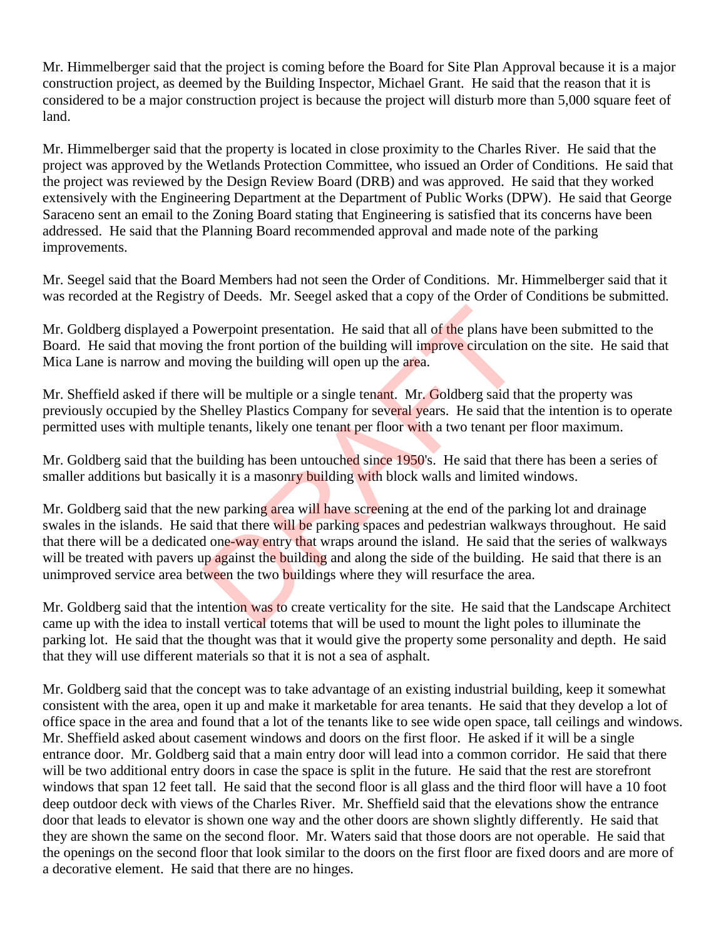Mr. Himmelberger said that the project is coming before the Board for Site Plan Approval because it is a major construction project, as deemed by the Building Inspector, Michael Grant. He said that the reason that it is considered to be a major construction project is because the project will disturb more than 5,000 square feet of land.

Mr. Himmelberger said that the property is located in close proximity to the Charles River. He said that the project was approved by the Wetlands Protection Committee, who issued an Order of Conditions. He said that the project was reviewed by the Design Review Board (DRB) and was approved. He said that they worked extensively with the Engineering Department at the Department of Public Works (DPW). He said that George Saraceno sent an email to the Zoning Board stating that Engineering is satisfied that its concerns have been addressed. He said that the Planning Board recommended approval and made note of the parking improvements.

Mr. Seegel said that the Board Members had not seen the Order of Conditions. Mr. Himmelberger said that it was recorded at the Registry of Deeds. Mr. Seegel asked that a copy of the Order of Conditions be submitted.

Mr. Goldberg displayed a Powerpoint presentation. He said that all of the plans have been submitted to the Board. He said that moving the front portion of the building will improve circulation on the site. He said that Mica Lane is narrow and moving the building will open up the area.

Mr. Sheffield asked if there will be multiple or a single tenant. Mr. Goldberg said that the property was previously occupied by the Shelley Plastics Company for several years. He said that the intention is to operate permitted uses with multiple tenants, likely one tenant per floor with a two tenant per floor maximum.

Mr. Goldberg said that the building has been untouched since 1950's. He said that there has been a series of smaller additions but basically it is a masonry building with block walls and limited windows.

Mr. Goldberg said that the new parking area will have screening at the end of the parking lot and drainage swales in the islands. He said that there will be parking spaces and pedestrian walkways throughout. He said that there will be a dedicated one-way entry that wraps around the island. He said that the series of walkways will be treated with pavers up against the building and along the side of the building. He said that there is an unimproved service area between the two buildings where they will resurface the area. owerpoint presentation. He said that all of the plans have<br>the front portion of the building will improve circulation<br>oving the building will open up the area.<br>will be multiple or a single tenant. Mr. Goldberg said the<br>She

Mr. Goldberg said that the intention was to create verticality for the site. He said that the Landscape Architect came up with the idea to install vertical totems that will be used to mount the light poles to illuminate the parking lot. He said that the thought was that it would give the property some personality and depth. He said that they will use different materials so that it is not a sea of asphalt.

Mr. Goldberg said that the concept was to take advantage of an existing industrial building, keep it somewhat consistent with the area, open it up and make it marketable for area tenants. He said that they develop a lot of office space in the area and found that a lot of the tenants like to see wide open space, tall ceilings and windows. Mr. Sheffield asked about casement windows and doors on the first floor. He asked if it will be a single entrance door. Mr. Goldberg said that a main entry door will lead into a common corridor. He said that there will be two additional entry doors in case the space is split in the future. He said that the rest are storefront windows that span 12 feet tall. He said that the second floor is all glass and the third floor will have a 10 foot deep outdoor deck with views of the Charles River. Mr. Sheffield said that the elevations show the entrance door that leads to elevator is shown one way and the other doors are shown slightly differently. He said that they are shown the same on the second floor. Mr. Waters said that those doors are not operable. He said that the openings on the second floor that look similar to the doors on the first floor are fixed doors and are more of a decorative element. He said that there are no hinges.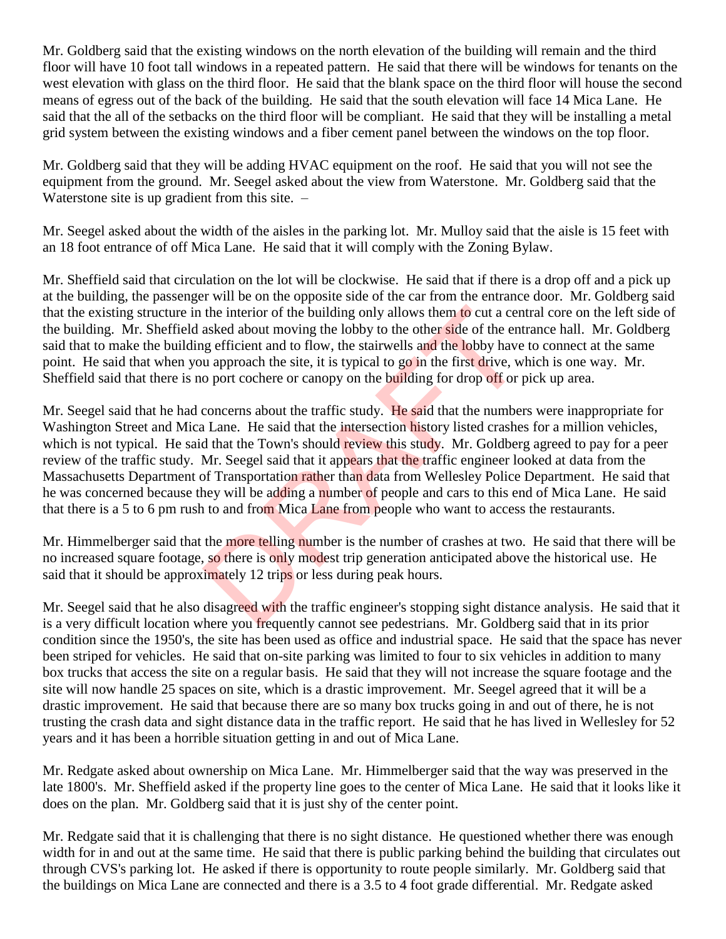Mr. Goldberg said that the existing windows on the north elevation of the building will remain and the third floor will have 10 foot tall windows in a repeated pattern. He said that there will be windows for tenants on the west elevation with glass on the third floor. He said that the blank space on the third floor will house the second means of egress out of the back of the building. He said that the south elevation will face 14 Mica Lane. He said that the all of the setbacks on the third floor will be compliant. He said that they will be installing a metal grid system between the existing windows and a fiber cement panel between the windows on the top floor.

Mr. Goldberg said that they will be adding HVAC equipment on the roof. He said that you will not see the equipment from the ground. Mr. Seegel asked about the view from Waterstone. Mr. Goldberg said that the Waterstone site is up gradient from this site.  $-$ 

Mr. Seegel asked about the width of the aisles in the parking lot. Mr. Mulloy said that the aisle is 15 feet with an 18 foot entrance of off Mica Lane. He said that it will comply with the Zoning Bylaw.

Mr. Sheffield said that circulation on the lot will be clockwise. He said that if there is a drop off and a pick up at the building, the passenger will be on the opposite side of the car from the entrance door. Mr. Goldberg said that the existing structure in the interior of the building only allows them to cut a central core on the left side of the building. Mr. Sheffield asked about moving the lobby to the other side of the entrance hall. Mr. Goldberg said that to make the building efficient and to flow, the stairwells and the lobby have to connect at the same point. He said that when you approach the site, it is typical to go in the first drive, which is one way. Mr. Sheffield said that there is no port cochere or canopy on the building for drop off or pick up area.

Mr. Seegel said that he had concerns about the traffic study. He said that the numbers were inappropriate for Washington Street and Mica Lane. He said that the intersection history listed crashes for a million vehicles, which is not typical. He said that the Town's should review this study. Mr. Goldberg agreed to pay for a peer review of the traffic study. Mr. Seegel said that it appears that the traffic engineer looked at data from the Massachusetts Department of Transportation rather than data from Wellesley Police Department. He said that he was concerned because they will be adding a number of people and cars to this end of Mica Lane. He said that there is a 5 to 6 pm rush to and from Mica Lane from people who want to access the restaurants. the interior of the building only allows them to cut a cen<br>asked about moving the lobby to the other side of the ent<br>g efficient and to flow, the stairwells and the lobby have<br>u approach the site, it is typical to go in th

Mr. Himmelberger said that the more telling number is the number of crashes at two. He said that there will be no increased square footage, so there is only modest trip generation anticipated above the historical use. He said that it should be approximately 12 trips or less during peak hours.

Mr. Seegel said that he also disagreed with the traffic engineer's stopping sight distance analysis. He said that it is a very difficult location where you frequently cannot see pedestrians. Mr. Goldberg said that in its prior condition since the 1950's, the site has been used as office and industrial space. He said that the space has never been striped for vehicles. He said that on-site parking was limited to four to six vehicles in addition to many box trucks that access the site on a regular basis. He said that they will not increase the square footage and the site will now handle 25 spaces on site, which is a drastic improvement. Mr. Seegel agreed that it will be a drastic improvement. He said that because there are so many box trucks going in and out of there, he is not trusting the crash data and sight distance data in the traffic report. He said that he has lived in Wellesley for 52 years and it has been a horrible situation getting in and out of Mica Lane.

Mr. Redgate asked about ownership on Mica Lane. Mr. Himmelberger said that the way was preserved in the late 1800's. Mr. Sheffield asked if the property line goes to the center of Mica Lane. He said that it looks like it does on the plan. Mr. Goldberg said that it is just shy of the center point.

Mr. Redgate said that it is challenging that there is no sight distance. He questioned whether there was enough width for in and out at the same time. He said that there is public parking behind the building that circulates out through CVS's parking lot. He asked if there is opportunity to route people similarly. Mr. Goldberg said that the buildings on Mica Lane are connected and there is a 3.5 to 4 foot grade differential. Mr. Redgate asked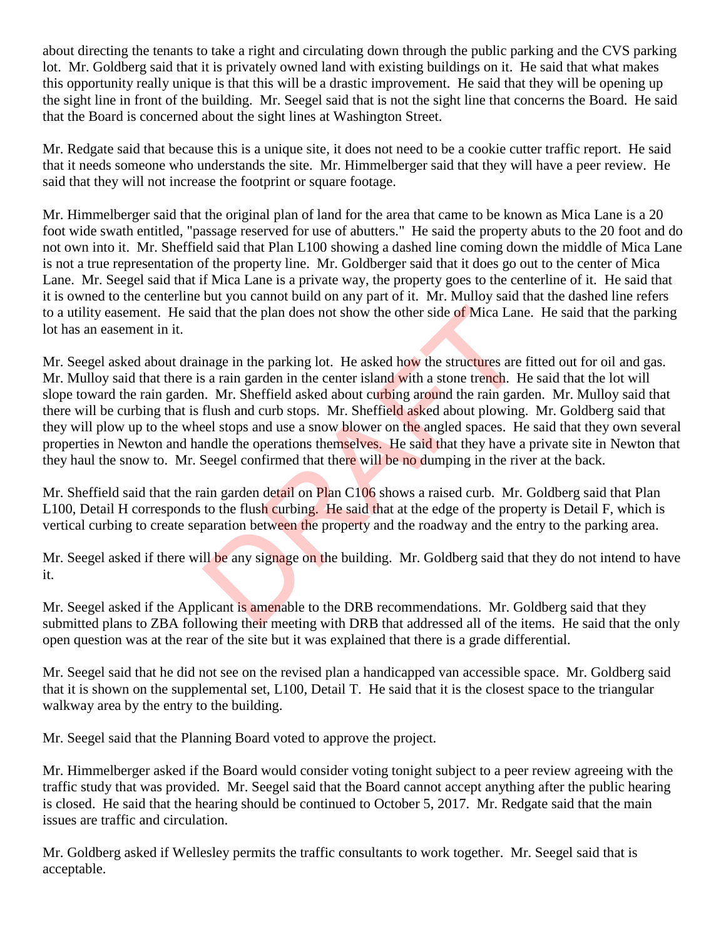about directing the tenants to take a right and circulating down through the public parking and the CVS parking lot. Mr. Goldberg said that it is privately owned land with existing buildings on it. He said that what makes this opportunity really unique is that this will be a drastic improvement. He said that they will be opening up the sight line in front of the building. Mr. Seegel said that is not the sight line that concerns the Board. He said that the Board is concerned about the sight lines at Washington Street.

Mr. Redgate said that because this is a unique site, it does not need to be a cookie cutter traffic report. He said that it needs someone who understands the site. Mr. Himmelberger said that they will have a peer review. He said that they will not increase the footprint or square footage.

Mr. Himmelberger said that the original plan of land for the area that came to be known as Mica Lane is a 20 foot wide swath entitled, "passage reserved for use of abutters." He said the property abuts to the 20 foot and do not own into it. Mr. Sheffield said that Plan L100 showing a dashed line coming down the middle of Mica Lane is not a true representation of the property line. Mr. Goldberger said that it does go out to the center of Mica Lane. Mr. Seegel said that if Mica Lane is a private way, the property goes to the centerline of it. He said that it is owned to the centerline but you cannot build on any part of it. Mr. Mulloy said that the dashed line refers to a utility easement. He said that the plan does not show the other side of Mica Lane. He said that the parking lot has an easement in it.

Mr. Seegel asked about drainage in the parking lot. He asked how the structures are fitted out for oil and gas. Mr. Mulloy said that there is a rain garden in the center island with a stone trench. He said that the lot will slope toward the rain garden. Mr. Sheffield asked about curbing around the rain garden. Mr. Mulloy said that there will be curbing that is flush and curb stops. Mr. Sheffield asked about plowing. Mr. Goldberg said that they will plow up to the wheel stops and use a snow blower on the angled spaces. He said that they own several properties in Newton and handle the operations themselves. He said that they have a private site in Newton that they haul the snow to. Mr. Seegel confirmed that there will be no dumping in the river at the back. id that the plan does not show the other side of Mica Land<br>nage in the parking lot. He asked how the structures are<br>s a rain garden in the center island with a stone trench. H<br>n. Mr. Sheffield asked about curbing around th

Mr. Sheffield said that the rain garden detail on Plan C106 shows a raised curb. Mr. Goldberg said that Plan L100, Detail H corresponds to the flush curbing. He said that at the edge of the property is Detail F, which is vertical curbing to create separation between the property and the roadway and the entry to the parking area.

Mr. Seegel asked if there will be any signage on the building. Mr. Goldberg said that they do not intend to have it.

Mr. Seegel asked if the Applicant is amenable to the DRB recommendations. Mr. Goldberg said that they submitted plans to ZBA following their meeting with DRB that addressed all of the items. He said that the only open question was at the rear of the site but it was explained that there is a grade differential.

Mr. Seegel said that he did not see on the revised plan a handicapped van accessible space. Mr. Goldberg said that it is shown on the supplemental set, L100, Detail T. He said that it is the closest space to the triangular walkway area by the entry to the building.

Mr. Seegel said that the Planning Board voted to approve the project.

Mr. Himmelberger asked if the Board would consider voting tonight subject to a peer review agreeing with the traffic study that was provided. Mr. Seegel said that the Board cannot accept anything after the public hearing is closed. He said that the hearing should be continued to October 5, 2017. Mr. Redgate said that the main issues are traffic and circulation.

Mr. Goldberg asked if Wellesley permits the traffic consultants to work together. Mr. Seegel said that is acceptable.